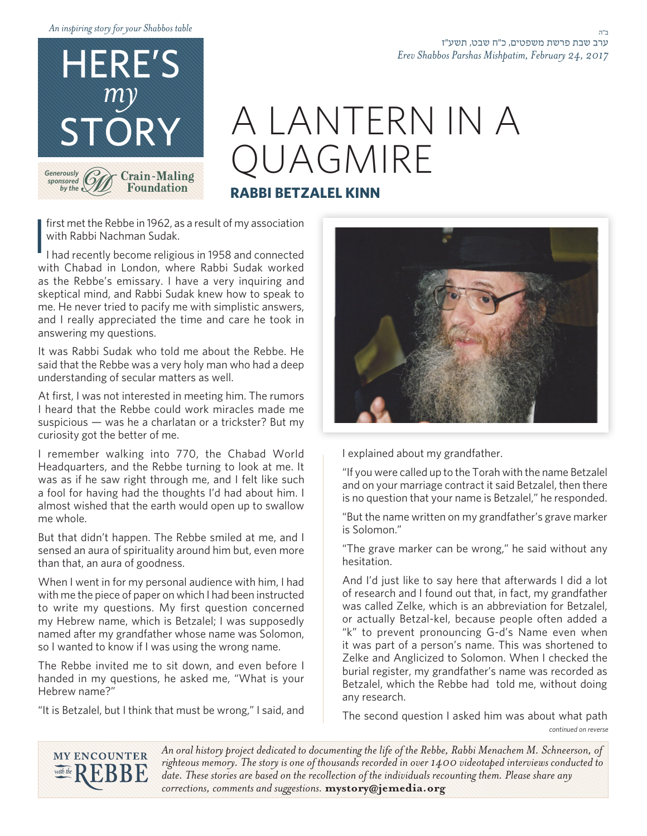*table Shabbos your for story inspiring An*



# A LANTERN IN A QUAGMIRE **RRI BETZALEL KINN**

## first met the Rebbe in 1962, as a result of my association with Rabbi Nachman Sudak.

I I had recently become religious in 1958 and connected with Chabad in London, where Rabbi Sudak worked as the Rebbe's emissary. I have a very inquiring and skeptical mind, and Rabbi Sudak knew how to speak to me. He never tried to pacify me with simplistic answers, and I really appreciated the time and care he took in answering my questions.

It was Rabbi Sudak who told me about the Rebbe. He said that the Rebbe was a very holy man who had a deep understanding of secular matters as well.

At first, I was not interested in meeting him. The rumors I heard that the Rebbe could work miracles made me suspicious  $-$  was he a charlatan or a trickster? But my curiosity got the better of me.

I remember walking into 770, the Chabad World Headquarters, and the Rebbe turning to look at me. It was as if he saw right through me, and I felt like such a fool for having had the thoughts I'd had about him. I almost wished that the earth would open up to swallow me whole.

But that didn't happen. The Rebbe smiled at me, and I sensed an aura of spirituality around him but, even more than that, an aura of goodness.

When I went in for my personal audience with him, I had with me the piece of paper on which I had been instructed to write my questions. My first question concerned my Hebrew name, which is Betzalel; I was supposedly named after my grandfather whose name was Solomon, so I wanted to know if I was using the wrong name.

The Rebbe invited me to sit down, and even before I handed in my questions, he asked me, "What is your Hebrew name?"

"It is Betzalel, but I think that must be wrong," I said, and



*Erev Shabbos Parshas Mishpatim, February 24, 2017* 

I explained about my grandfather.

"If you were called up to the Torah with the name Betzalel and on your marriage contract it said Betzalel, then there is no question that your name is Betzalel," he responded.

"But the name written on my grandfather's grave marker is Solomon."

"The grave marker can be wrong," he said without any .hesitation

And I'd just like to say here that afterwards I did a lot of research and I found out that, in fact, my grandfather was called Zelke, which is an abbreviation for Betzalel, or actually Betzal-kel, because people often added a "k" to prevent pronouncing G-d's Name even when it was part of a person's name. This was shortened to Zelke and Anglicized to Solomon. When I checked the burial register, my grandfather's name was recorded as Betzalel, which the Rebbe had told me, without doing any research.

*reverse on continued* The second question I asked him was about what path



An oral history project dedicated to documenting the life of the Rebbe, Rabbi Menachem M. Schneerson, of righteous memory. The story is one of thousands recorded in over 1400 videotaped interviews conducted to date. These stories are based on the recollection of the individuals recounting them. Please share any corrections, comments and suggestions. mystory@jemedia.org